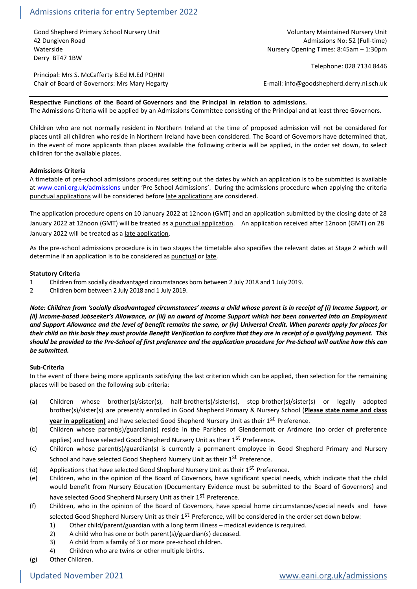# Admissions criteria for entry September 2022

Good Shepherd Primary School Nursery Unit Voluntary Maintained Nursery Unit Voluntary Maintained Nursery Unit 42 Dungiven Road Admissions No: 52 (Full-time) Waterside Nursery Opening Times: 8:45am – 1:30pm Derry BT47 1BW

Telephone: 028 7134 8446

Principal: Mrs S. McCafferty B.Ed M.Ed PQHNI Chair of Board of Governors: Mrs Mary Hegarty **Example 2018** E-mail: info@goodshepherd.derry.ni.sch.uk

# **Respective Functions of the Board of Governors and the Principal in relation to admissions.**

The Admissions Criteria will be applied by an Admissions Committee consisting of the Principal and at least three Governors.

Children who are not normally resident in Northern Ireland at the time of proposed admission will not be considered for places until all children who reside in Northern Ireland have been considered. The Board of Governors have determined that, in the event of more applicants than places available the following criteria will be applied, in the order set down, to select children for the available places.

# **Admissions Criteria**

A timetable of pre-school admissions procedures setting out the dates by which an application is to be submitted is available at [www.eani.org.uk/admissions](http://www.eani.org.uk/admissions) under 'Pre-School Admissions'. During the admissions procedure when applying the criteria punctual applications will be considered before late applications are considered.

The application procedure opens on 10 January 2022 at 12noon (GMT) and an application submitted by the closing date of 28 January 2022 at 12noon (GMT) will be treated as a punctual application. An application received after 12noon (GMT) on 28 January 2022 will be treated as a late application.

As the pre-school admissions procedure is in two stages the timetable also specifies the relevant dates at Stage 2 which will determine if an application is to be considered as punctual or late.

#### **Statutory Criteria**

- 1 Children from socially disadvantaged circumstances born between 2 July 2018 and 1 July 2019.
- 2 Children born between 2 July 2018 and 1 July 2019.

*Note: Children from 'socially disadvantaged circumstances' means a child whose parent is in receipt of (i) Income Support, or (ii) Income-based Jobseeker's Allowance, or (iii) an award of Income Support which has been converted into an Employment and Support Allowance and the level of benefit remains the same, or (iv) Universal Credit. When parents apply for places for their child on this basis they must provide Benefit Verification to confirm that they are in receipt of a qualifying payment. This should be provided to the Pre-School of first preference and the application procedure for Pre-School will outline how this can be submitted.*

# **Sub-Criteria**

In the event of there being more applicants satisfying the last criterion which can be applied, then selection for the remaining places will be based on the following sub-criteria:

(a) Children whose brother(s)/sister(s), half-brother(s)/sister(s), step-brother(s)/sister(s) or legally adopted brother(s)/sister(s) are presently enrolled in Good Shepherd Primary & Nursery School (**Please state name and class** 

**year in application)** and have selected Good Shepherd Nursery Unit as their 1<sup>st</sup> Preference.

- (b) Children whose parent(s)/guardian(s) reside in the Parishes of Glendermott or Ardmore (no order of preference applies) and have selected Good Shepherd Nursery Unit as their 1<sup>st</sup> Preference.
- (c) Children whose parent(s)/guardian(s) is currently a permanent employee in Good Shepherd Primary and Nursery School and have selected Good Shepherd Nursery Unit as their 1<sup>st</sup> Preference.
- (d) Applications that have selected Good Shepherd Nursery Unit as their  $1^{st}$  Preference.
- (e) Children, who in the opinion of the Board of Governors, have significant special needs, which indicate that the child would benefit from Nursery Education (Documentary Evidence must be submitted to the Board of Governors) and have selected Good Shepherd Nursery Unit as their 1<sup>st</sup> Preference.
- (f) Children, who in the opinion of the Board of Governors, have special home circumstances/special needs and have selected Good Shepherd Nursery Unit as their 1<sup>st</sup> Preference, will be considered in the order set down below:
	- 1) Other child/parent/guardian with a long term illness medical evidence is required.
	- 2) A child who has one or both parent(s)/guardian(s) deceased.
	- 3) A child from a family of 3 or more pre-school children.
	- 4) Children who are twins or other multiple births.

(g) Other Children.